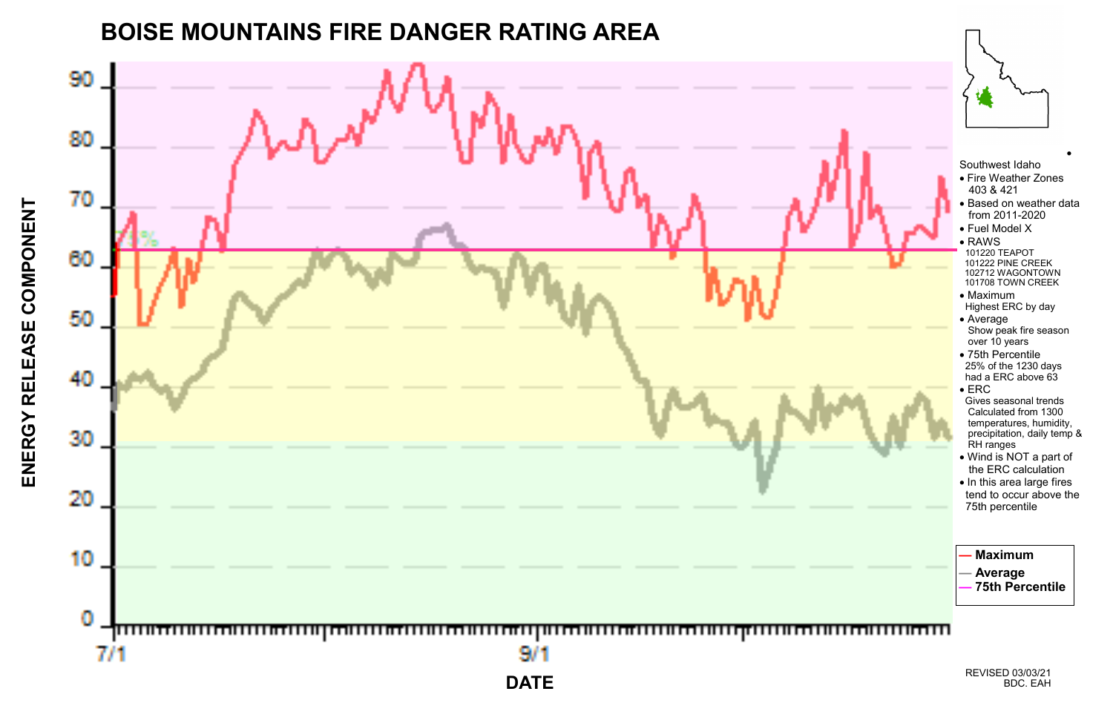ENERGY RELEASE COMPONENT **ENERGY RELEASE COMPONENT**



**BOISE MOUNTAINS FIRE DANGER RATING AREA**



•

Southwest Idaho

- Fire Weather Zones 403 & 421
- Based on weather data from 2011-2020
- Fuel Model X
- RAWS 101220 TEAPOT 101222 PINE CREEK 102712 WAGONTOWN 101708 TOWN CREEK
- Maximum Highest ERC by day
- Average Show peak fire season over 10 years
- 75th Percentile 25% of the 1230 days had a ERC above 63
- ERC Gives seasonal trends Calculated from 1300 temperatures, humidity, precipitation, daily temp & RH ranges
- Wind is NOT a part of the ERC calculation
- In this area large fires tend to occur above the 75th percentile

## **— Maximum**

**— Average**

**— 75th Percentile**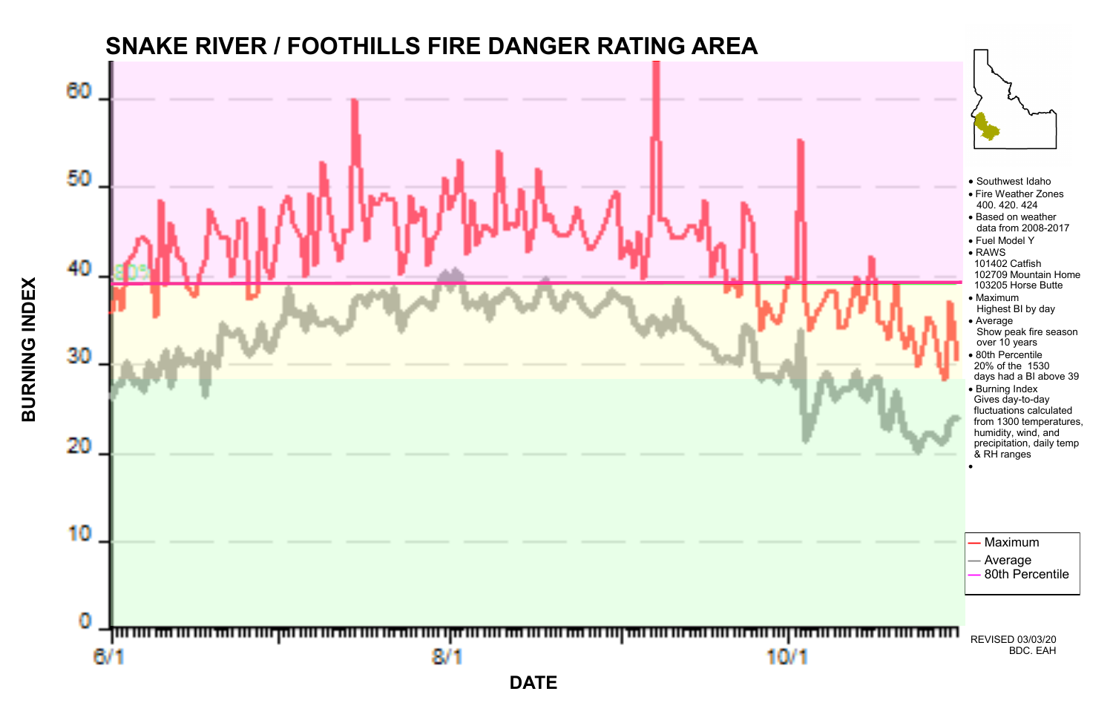**BURNING INDEX BURNING INDEX**